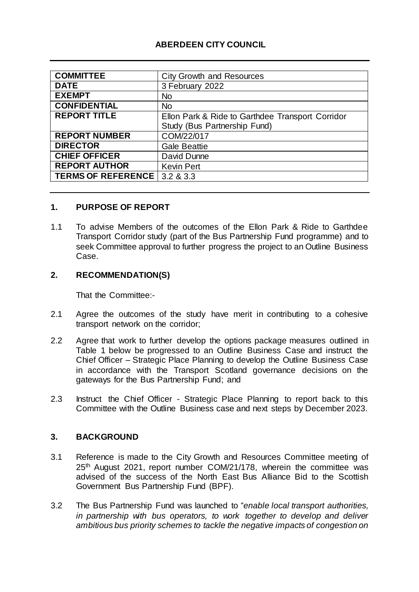# **ABERDEEN CITY COUNCIL**

| <b>COMMITTEE</b>          | <b>City Growth and Resources</b>                 |
|---------------------------|--------------------------------------------------|
| <b>DATE</b>               | 3 February 2022                                  |
| <b>EXEMPT</b>             | <b>No</b>                                        |
| <b>CONFIDENTIAL</b>       | <b>No</b>                                        |
| <b>REPORT TITLE</b>       | Ellon Park & Ride to Garthdee Transport Corridor |
|                           | Study (Bus Partnership Fund)                     |
| <b>REPORT NUMBER</b>      | COM/22/017                                       |
| <b>DIRECTOR</b>           | <b>Gale Beattie</b>                              |
| <b>CHIEF OFFICER</b>      | David Dunne                                      |
| <b>REPORT AUTHOR</b>      | <b>Kevin Pert</b>                                |
| <b>TERMS OF REFERENCE</b> | 3.2 & 3.3                                        |

### **1. PURPOSE OF REPORT**

1.1 To advise Members of the outcomes of the Ellon Park & Ride to Garthdee Transport Corridor study (part of the Bus Partnership Fund programme) and to seek Committee approval to further progress the project to an Outline Business Case.

#### **2. RECOMMENDATION(S)**

That the Committee:-

- 2.1 Agree the outcomes of the study have merit in contributing to a cohesive transport network on the corridor;
- 2.2 Agree that work to further develop the options package measures outlined in Table 1 below be progressed to an Outline Business Case and instruct the Chief Officer – Strategic Place Planning to develop the Outline Business Case in accordance with the Transport Scotland governance decisions on the gateways for the Bus Partnership Fund; and
- 2.3 Instruct the Chief Officer Strategic Place Planning to report back to this Committee with the Outline Business case and next steps by December 2023.

#### **3. BACKGROUND**

- 3.1 Reference is made to the City Growth and Resources Committee meeting of 25th August 2021, report number COM/21/178, wherein the committee was advised of the success of the North East Bus Alliance Bid to the Scottish Government Bus Partnership Fund (BPF).
- 3.2 The Bus Partnership Fund was launched to "*enable local transport authorities, in partnership with bus operators, to work together to develop and deliver ambitious bus priority schemes to tackle the negative impacts of congestion on*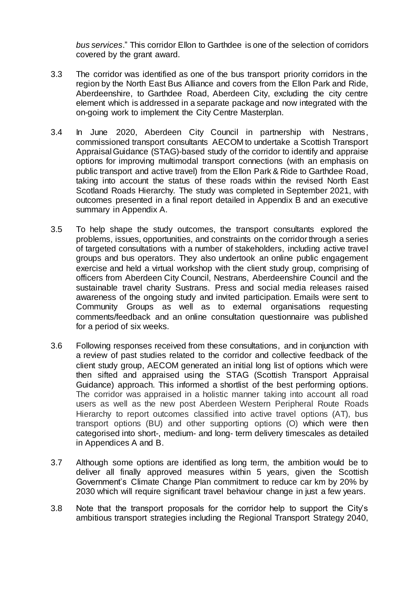*bus services*." This corridor Ellon to Garthdee is one of the selection of corridors covered by the grant award.

- 3.3 The corridor was identified as one of the bus transport priority corridors in the region by the North East Bus Alliance and covers from the Ellon Park and Ride, Aberdeenshire, to Garthdee Road, Aberdeen City, excluding the city centre element which is addressed in a separate package and now integrated with the on-going work to implement the City Centre Masterplan.
- 3.4 In June 2020, Aberdeen City Council in partnership with Nestrans, commissioned transport consultants AECOM to undertake a Scottish Transport Appraisal Guidance (STAG)-based study of the corridor to identify and appraise options for improving multimodal transport connections (with an emphasis on public transport and active travel) from the Ellon Park & Ride to Garthdee Road, taking into account the status of these roads within the revised North East Scotland Roads Hierarchy. The study was completed in September 2021, with outcomes presented in a final report detailed in Appendix B and an executive summary in Appendix A.
- 3.5 To help shape the study outcomes, the transport consultants explored the problems, issues, opportunities, and constraints on the corridor through a series of targeted consultations with a number of stakeholders, including active travel groups and bus operators. They also undertook an online public engagement exercise and held a virtual workshop with the client study group, comprising of officers from Aberdeen City Council, Nestrans, Aberdeenshire Council and the sustainable travel charity Sustrans. Press and social media releases raised awareness of the ongoing study and invited participation. Emails were sent to Community Groups as well as to external organisations requesting comments/feedback and an online consultation questionnaire was published for a period of six weeks.
- 3.6 Following responses received from these consultations, and in conjunction with a review of past studies related to the corridor and collective feedback of the client study group, AECOM generated an initial long list of options which were then sifted and appraised using the STAG (Scottish Transport Appraisal Guidance) approach. This informed a shortlist of the best performing options. The corridor was appraised in a holistic manner taking into account all road users as well as the new post Aberdeen Western Peripheral Route Roads Hierarchy to report outcomes classified into active travel options (AT), bus transport options (BU) and other supporting options (O) which were then categorised into short-, medium- and long- term delivery timescales as detailed in Appendices A and B.
- 3.7 Although some options are identified as long term, the ambition would be to deliver all finally approved measures within 5 years, given the Scottish Government's Climate Change Plan commitment to reduce car km by 20% by 2030 which will require significant travel behaviour change in just a few years.
- 3.8 Note that the transport proposals for the corridor help to support the City's ambitious transport strategies including the Regional Transport Strategy 2040,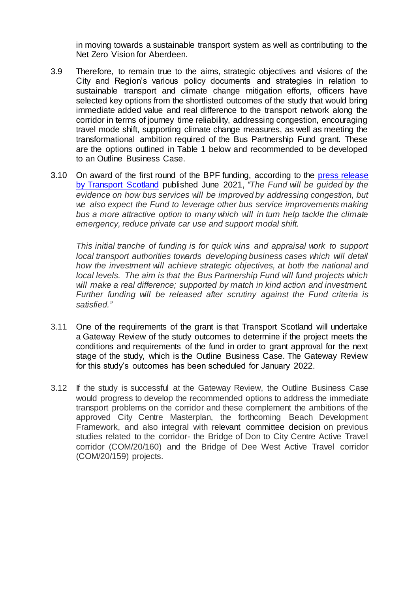in moving towards a sustainable transport system as well as contributing to the Net Zero Vision for Aberdeen.

- 3.9 Therefore, to remain true to the aims, strategic objectives and visions of the City and Region's various policy documents and strategies in relation to sustainable transport and climate change mitigation efforts, officers have selected key options from the shortlisted outcomes of the study that would bring immediate added value and real difference to the transport network along the corridor in terms of journey time reliability, addressing congestion, encouraging travel mode shift, supporting climate change measures, as well as meeting the transformational ambition required of the Bus Partnership Fund grant. These are the options outlined in Table 1 below and recommended to be developed to an Outline Business Case.
- 3.10 On award of the first round of the BPF funding, according to the press [release](https://www.transport.gov.scot/news/up-to-236-million-to-improve-bus-services/)  [by Transport Scotland](https://www.transport.gov.scot/news/up-to-236-million-to-improve-bus-services/) published June 2021, *"The Fund will be guided by the evidence on how bus services will be improved by addressing congestion, but we also expect the Fund to leverage other bus service improvements making*  bus a more attractive option to many which will in turn help tackle the climate *emergency, reduce private car use and support modal shift.*

*This initial tranche of funding is for quick wins and appraisal work to support local transport authorities towards developing business cases which will detail how the investment will achieve strategic objectives, at both the national and local levels. The aim is that the Bus Partnership Fund will fund projects which will make a real difference; supported by match in kind action and investment. Further funding will be released after scrutiny against the Fund criteria is satisfied."*

- 3.11 One of the requirements of the grant is that Transport Scotland will undertake a Gateway Review of the study outcomes to determine if the project meets the conditions and requirements of the fund in order to grant approval for the next stage of the study, which is the Outline Business Case. The Gateway Review for this study's outcomes has been scheduled for January 2022.
- 3.12 If the study is successful at the Gateway Review, the Outline Business Case would progress to develop the recommended options to address the immediate transport problems on the corridor and these complement the ambitions of the approved City Centre Masterplan, the forthcoming Beach Development Framework, and also integral with relevant committee decision on previous studies related to the corridor- the Bridge of Don to City Centre Active Travel corridor (COM/20/160) and the Bridge of Dee West Active Travel corridor (COM/20/159) projects.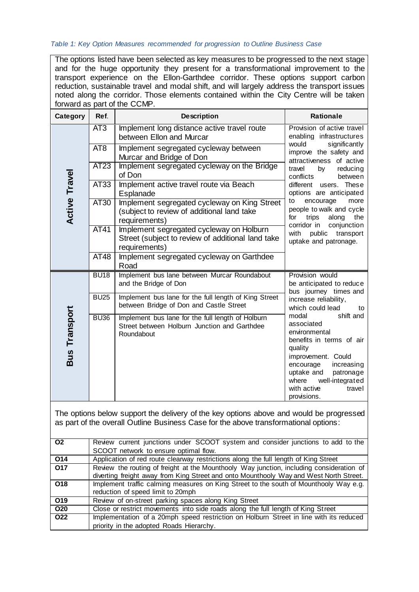#### *Table 1: Key Option Measures recommended for progression to Outline Business Case*

The options listed have been selected as key measures to be progressed to the next stage and for the huge opportunity they present for a transformational improvement to the transport experience on the Ellon-Garthdee corridor. These options support carbon reduction, sustainable travel and modal shift, and will largely address the transport issues noted along the corridor. Those elements contained within the City Centre will be taken forward as part of the CCMP.

| Category             | Ref.            | <b>Description</b>                                                                                              | <b>Rationale</b>                                                                                                                                                                                                                         |
|----------------------|-----------------|-----------------------------------------------------------------------------------------------------------------|------------------------------------------------------------------------------------------------------------------------------------------------------------------------------------------------------------------------------------------|
|                      | AT3             | Implement long distance active travel route<br>between Ellon and Murcar                                         | Provision of active travel<br>enabling infrastructures                                                                                                                                                                                   |
|                      | AT <sub>8</sub> | Implement segregated cycleway between<br>Murcar and Bridge of Don                                               | would<br>significantly<br>improve the safety and<br>attractiveness of active                                                                                                                                                             |
|                      | <b>AT23</b>     | Implement segregated cycleway on the Bridge<br>of Don                                                           | travel<br>reducing<br>by<br>conflicts<br>between                                                                                                                                                                                         |
|                      | <b>AT33</b>     | Implement active travel route via Beach<br>Esplanade                                                            | different users. These<br>options are anticipated                                                                                                                                                                                        |
| <b>Active Travel</b> | <b>AT30</b>     | Implement segregated cycleway on King Street<br>(subject to review of additional land take<br>requirements)     | to<br>encourage<br>more<br>people to walk and cycle<br>for<br>trips<br>along<br>the<br>corridor in<br>conjunction                                                                                                                        |
|                      | <b>AT41</b>     | Implement segregated cycleway on Holburn<br>Street (subject to review of additional land take<br>requirements)  | with<br>public<br>transport<br>uptake and patronage.                                                                                                                                                                                     |
|                      | AT48            | Implement segregated cycleway on Garthdee<br>Road                                                               |                                                                                                                                                                                                                                          |
|                      | <b>BU18</b>     | Implement bus lane between Murcar Roundabout<br>and the Bridge of Don                                           | Provision would<br>be anticipated to reduce<br>bus journey times and                                                                                                                                                                     |
|                      | <b>BU25</b>     | Implement bus lane for the full length of King Street<br>between Bridge of Don and Castle Street                | increase reliability,<br>which could lead<br>to                                                                                                                                                                                          |
| <b>Bus Transport</b> | <b>BU36</b>     | Implement bus lane for the full length of Holburn<br>Street between Holburn Junction and Garthdee<br>Roundabout | shift and<br>modal<br>associated<br>environmental<br>benefits in terms of air<br>quality<br>improvement. Could<br>encourage<br>increasing<br>uptake and<br>patronage<br>well-integrated<br>where<br>with active<br>travel<br>provisions. |

The options below support the delivery of the key options above and would be progressed as part of the overall Outline Business Case for the above transformational options:

| O <sub>2</sub>  | Review current junctions under SCOOT system and consider junctions to add to the         |
|-----------------|------------------------------------------------------------------------------------------|
|                 | SCOOT network to ensure optimal flow.                                                    |
| O <sub>14</sub> | Application of red route clearway restrictions along the full length of King Street      |
| O17             | Review the routing of freight at the Mounthooly Way junction, including consideration of |
|                 | diverting freight away from King Street and onto Mounthooly Way and West North Street.   |
| O <sub>18</sub> | Implement traffic calming measures on King Street to the south of Mounthooly Way e.g.    |
|                 | reduction of speed limit to 20mph                                                        |
| O <sub>19</sub> | Review of on-street parking spaces along King Street                                     |
| O <sub>20</sub> | Close or restrict movements into side roads along the full length of King Street         |
| O22             | Implementation of a 20mph speed restriction on Holburn Street in line with its reduced   |
|                 | priority in the adopted Roads Hierarchy.                                                 |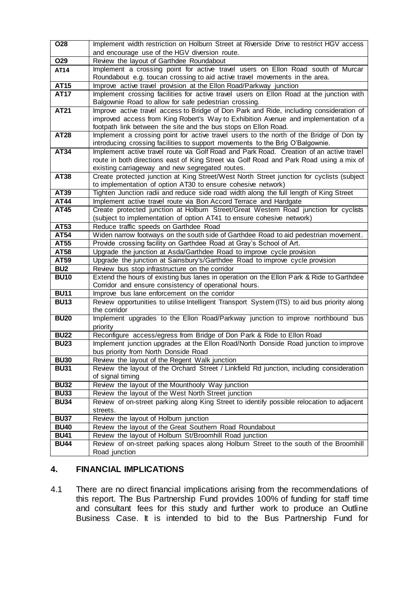| $\overline{O28}$ | Implement width restriction on Holburn Street at Riverside Drive to restrict HGV access                                                                                            |
|------------------|------------------------------------------------------------------------------------------------------------------------------------------------------------------------------------|
|                  | and encourage use of the HGV diversion route.                                                                                                                                      |
| O29              | Review the layout of Garthdee Roundabout                                                                                                                                           |
| AT14             | Implement a crossing point for active travel users on Ellon Road south of Murcar                                                                                                   |
|                  | Roundabout e.g. toucan crossing to aid active travel movements in the area.                                                                                                        |
| <b>AT15</b>      | Improve active travel provision at the Ellon Road/Parkway junction                                                                                                                 |
| <b>AT17</b>      | Implement crossing facilities for active travel users on Ellon Road at the junction with                                                                                           |
|                  | Balgownie Road to allow for safe pedestrian crossing.                                                                                                                              |
| <b>AT21</b>      | Improve active travel access to Bridge of Don Park and Ride, including consideration of                                                                                            |
|                  | improved access from King Robert's Way to Exhibition Avenue and implementation of a                                                                                                |
|                  | footpath link between the site and the bus stops on Ellon Road.                                                                                                                    |
| <b>AT28</b>      | Implement a crossing point for active travel users to the north of the Bridge of Don by                                                                                            |
| <b>AT34</b>      | introducing crossing facilities to support movements to the Brig O'Balgownie.                                                                                                      |
|                  | Implement active travel route via Golf Road and Park Road. Creation of an active travel<br>route in both directions east of King Street via Golf Road and Park Road using a mix of |
|                  | existing carriageway and new segregated routes.                                                                                                                                    |
| AT38             | Create protected junction at King Street/West North Street junction for cyclists (subject                                                                                          |
|                  | to implementation of option AT30 to ensure cohesive network)                                                                                                                       |
| <b>AT39</b>      | Tighten Junction radii and reduce side road width along the full length of King Street                                                                                             |
| <b>AT44</b>      | Implement active travel route via Bon Accord Terrace and Hardgate                                                                                                                  |
| <b>AT45</b>      | Create protected junction at Holburn Street/Great Western Road junction for cyclists                                                                                               |
|                  | (subject to implementation of option AT41 to ensure cohesive network)                                                                                                              |
| AT53             | Reduce traffic speeds on Garthdee Road                                                                                                                                             |
| AT54             | Widen narrow footways on the south side of Garthdee Road to aid pedestrian movement.                                                                                               |
| AT55             | Provide crossing facility on Garthdee Road at Gray's School of Art.                                                                                                                |
| <b>AT58</b>      | Upgrade the junction at Asda/Garthdee Road to improve cycle provision                                                                                                              |
| <b>AT59</b>      | Upgrade the junction at Sainsbury's/Garthdee Road to improve cycle provision                                                                                                       |
| BU <sub>2</sub>  | Review bus stop infrastructure on the corridor                                                                                                                                     |
| <b>BU10</b>      | Extend the hours of existing bus lanes in operation on the Ellon Park & Ride to Garthdee                                                                                           |
|                  | Corridor and ensure consistency of operational hours.                                                                                                                              |
| <b>BU11</b>      | Improve bus lane enforcement on the corridor                                                                                                                                       |
| <b>BU13</b>      | Review opportunities to utilise Intelligent Transport System (ITS) to aid bus priority along                                                                                       |
| <b>BU20</b>      | the corridor<br>Implement upgrades to the Ellon Road/Parkway junction to improve northbound bus                                                                                    |
|                  | priority                                                                                                                                                                           |
| <b>BU22</b>      | Reconfigure access/egress from Bridge of Don Park & Ride to Ellon Road                                                                                                             |
| <b>BU23</b>      | Implement junction upgrades at the Ellon Road/North Donside Road junction to improve                                                                                               |
|                  | bus priority from North Donside Road                                                                                                                                               |
| <b>BU30</b>      | Review the layout of the Regent Walk junction                                                                                                                                      |
| <b>BU31</b>      | Review the layout of the Orchard Street / Linkfield Rd junction, including consideration                                                                                           |
|                  | of signal timing                                                                                                                                                                   |
| <b>BU32</b>      | Review the layout of the Mounthooly Way junction                                                                                                                                   |
| <b>BU33</b>      | Review the layout of the West North Street junction                                                                                                                                |
| <b>BU34</b>      | Review of on-street parking along King Street to identify possible relocation to adjacent                                                                                          |
|                  | streets.                                                                                                                                                                           |
| <b>BU37</b>      | Review the layout of Holburn junction                                                                                                                                              |
| <b>BU40</b>      | Review the layout of the Great Southern Road Roundabout                                                                                                                            |
| <b>BU41</b>      | Review the layout of Holburn St/Broomhill Road junction                                                                                                                            |
| <b>BU44</b>      | Review of on-street parking spaces along Holburn Street to the south of the Broomhill                                                                                              |
|                  | Road junction                                                                                                                                                                      |

# **4. FINANCIAL IMPLICATIONS**

4.1 There are no direct financial implications arising from the recommendations of this report. The Bus Partnership Fund provides 100% of funding for staff time and consultant fees for this study and further work to produce an Outline Business Case. It is intended to bid to the Bus Partnership Fund for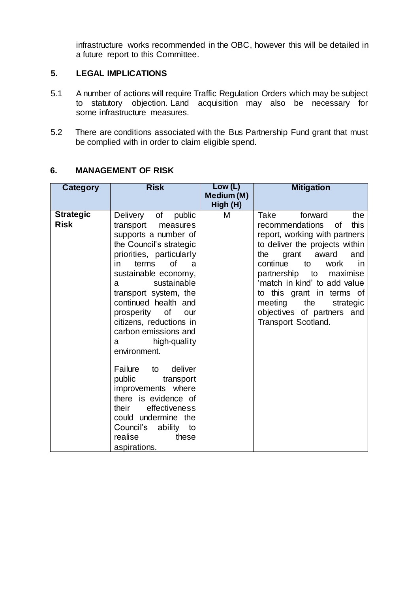infrastructure works recommended in the OBC, however this will be detailed in a future report to this Committee.

#### **5. LEGAL IMPLICATIONS**

- 5.1 A number of actions will require Traffic Regulation Orders which may be subject to statutory objection. Land acquisition may also be necessary for some infrastructure measures.
- 5.2 There are conditions associated with the Bus Partnership Fund grant that must be complied with in order to claim eligible spend.

| Category                        | <b>Risk</b>                                                                                                                                                                                                                                                                                                                                                                                                                                                                                                                                                                           | Low (L)<br>Medium (M)<br>High (H) | <b>Mitigation</b>                                                                                                                                                                                                                                                                                                                                                       |
|---------------------------------|---------------------------------------------------------------------------------------------------------------------------------------------------------------------------------------------------------------------------------------------------------------------------------------------------------------------------------------------------------------------------------------------------------------------------------------------------------------------------------------------------------------------------------------------------------------------------------------|-----------------------------------|-------------------------------------------------------------------------------------------------------------------------------------------------------------------------------------------------------------------------------------------------------------------------------------------------------------------------------------------------------------------------|
| <b>Strategic</b><br><b>Risk</b> | Delivery of<br>public<br>transport<br>measures<br>supports a number of<br>the Council's strategic<br>priorities, particularly<br>of<br>terms<br>in.<br>a<br>sustainable economy,<br>sustainable<br>a<br>transport system, the<br>continued health and<br>prosperity of<br>our<br>citizens, reductions in<br>carbon emissions and<br>high-quality<br>a a<br>environment.<br>Failure to<br>deliver<br>public<br>transport<br>improvements where<br>there is evidence of<br>effectiveness<br>their<br>could undermine the<br>Council's ability<br>to<br>realise<br>these<br>aspirations. | M                                 | Take<br>forward<br>the<br>recommendations<br><b>of</b><br>this<br>report, working with partners<br>to deliver the projects within<br>the<br>grant award<br>and<br>continue<br>to<br>work<br>in<br>partnership to maximise<br>'match in kind' to add value<br>to this grant in terms of<br>meeting the<br>strategic<br>objectives of partners and<br>Transport Scotland. |

### **6. MANAGEMENT OF RISK**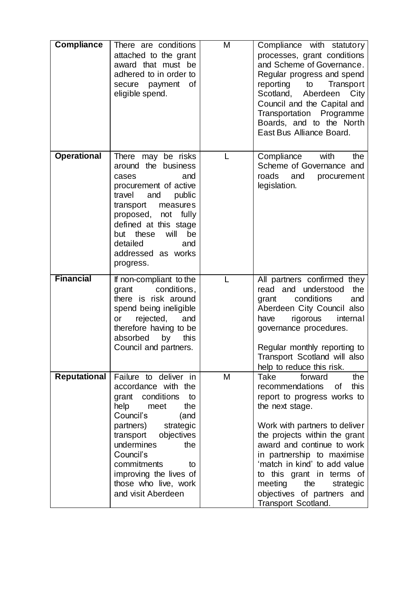| <b>Compliance</b>   | There are conditions<br>attached to the grant<br>award that must be<br>adhered to in order to<br>0f<br>secure payment<br>eligible spend.                                                                                                                                                               | M | Compliance with statutory<br>processes, grant conditions<br>and Scheme of Governance.<br>Regular progress and spend<br>reporting<br>Transport<br>to<br>Scotland, Aberdeen<br>City<br>Council and the Capital and<br>Transportation Programme<br>Boards, and to the North<br>East Bus Alliance Board.                                                                                        |
|---------------------|--------------------------------------------------------------------------------------------------------------------------------------------------------------------------------------------------------------------------------------------------------------------------------------------------------|---|---------------------------------------------------------------------------------------------------------------------------------------------------------------------------------------------------------------------------------------------------------------------------------------------------------------------------------------------------------------------------------------------|
| <b>Operational</b>  | There<br>may be risks<br>around the business<br>cases<br>and<br>procurement of active<br>travel<br>and<br>public<br>transport<br>measures<br>proposed, not fully<br>defined at this stage<br>these<br>but<br>will<br>be<br>detailed<br>and<br>addressed as works<br>progress.                          | L | with<br>Compliance<br>the<br>Scheme of Governance and<br>roads<br>and<br>procurement<br>legislation.                                                                                                                                                                                                                                                                                        |
| <b>Financial</b>    | If non-compliant to the<br>conditions,<br>grant<br>there is risk around<br>spend being ineligible<br>rejected,<br>and<br>or<br>therefore having to be<br>absorbed<br>this<br>by<br>Council and partners.                                                                                               |   | All partners confirmed they<br>read and understood<br>the<br>conditions<br>and<br>grant<br>Aberdeen City Council also<br>rigorous<br>have<br>internal<br>governance procedures.<br>Regular monthly reporting to<br>Transport Scotland will also<br>help to reduce this risk.                                                                                                                |
| <b>Reputational</b> | Failure to deliver in<br>accordance with the<br>grant conditions<br>to<br>the<br>help<br>meet<br>Council's<br>(and<br>strategic<br>partners)<br>objectives<br>transport<br>undermines<br>the<br>Council's<br>commitments<br>to<br>improving the lives of<br>those who live, work<br>and visit Aberdeen | M | Take<br>forward<br>the<br>this<br>recommendations<br>0f<br>report to progress works to<br>the next stage.<br>Work with partners to deliver<br>the projects within the grant<br>award and continue to work<br>in partnership to maximise<br>'match in kind' to add value<br>this grant in terms of<br>to<br>meeting<br>the<br>strategic<br>objectives of partners and<br>Transport Scotland. |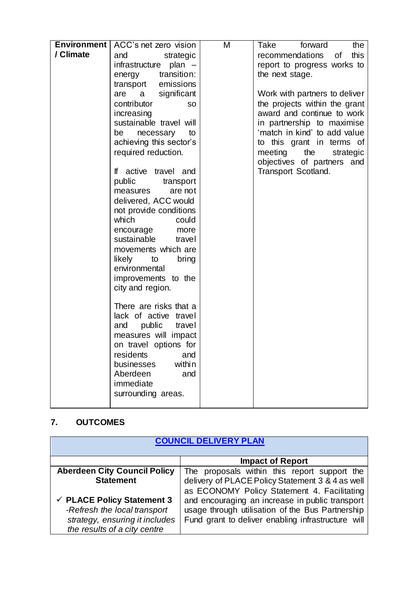| <b>Environment</b> | ACC's net zero vision      | M | Take<br>forward<br>the        |
|--------------------|----------------------------|---|-------------------------------|
| / Climate          | strategic<br>and           |   | recommendations<br>this<br>of |
|                    | infrastructure<br>plan $-$ |   |                               |
|                    | transition:                |   | report to progress works to   |
|                    | energy                     |   | the next stage.               |
|                    | transport emissions        |   |                               |
|                    | significant<br>are<br>a a  |   | Work with partners to deliver |
|                    | contributor<br><b>SO</b>   |   | the projects within the grant |
|                    | increasing                 |   | award and continue to work    |
|                    | sustainable travel will    |   | in partnership to maximise    |
|                    | be<br>necessary<br>to      |   | 'match in kind' to add value  |
|                    | achieving this sector's    |   | to this grant in terms of     |
|                    | required reduction.        |   | meeting<br>the<br>strategic   |
|                    |                            |   | objectives of partners and    |
|                    | If active travel and       |   | Transport Scotland.           |
|                    | public<br>transport        |   |                               |
|                    | are not<br>measures        |   |                               |
|                    | delivered, ACC would       |   |                               |
|                    | not provide conditions     |   |                               |
|                    | which<br>could             |   |                               |
|                    | encourage<br>more          |   |                               |
|                    | sustainable<br>travel      |   |                               |
|                    | movements which are        |   |                               |
|                    | likely to<br>bring         |   |                               |
|                    | environmental              |   |                               |
|                    | improvements to the        |   |                               |
|                    | city and region.           |   |                               |
|                    |                            |   |                               |
|                    | There are risks that a     |   |                               |
|                    | lack of active travel      |   |                               |
|                    | public<br>and<br>travel    |   |                               |
|                    | measures will impact       |   |                               |
|                    | on travel options for      |   |                               |
|                    | residents<br>and           |   |                               |
|                    | within<br>businesses       |   |                               |
|                    | Aberdeen<br>and            |   |                               |
|                    | immediate                  |   |                               |
|                    | surrounding areas.         |   |                               |
|                    |                            |   |                               |

# **7. OUTCOMES**

|                                                                                                                                         | <b>COUNCIL DELIVERY PLAN</b>                                                                                                                              |
|-----------------------------------------------------------------------------------------------------------------------------------------|-----------------------------------------------------------------------------------------------------------------------------------------------------------|
|                                                                                                                                         | <b>Impact of Report</b>                                                                                                                                   |
| <b>Aberdeen City Council Policy</b><br><b>Statement</b>                                                                                 | The proposals within this report support the<br>delivery of PLACE Policy Statement 3 & 4 as well<br>as ECONOMY Policy Statement 4. Facilitating           |
| $\checkmark$ PLACE Policy Statement 3<br>-Refresh the local transport<br>strategy, ensuring it includes<br>the results of a city centre | and encouraging an increase in public transport<br>usage through utilisation of the Bus Partnership<br>Fund grant to deliver enabling infrastructure will |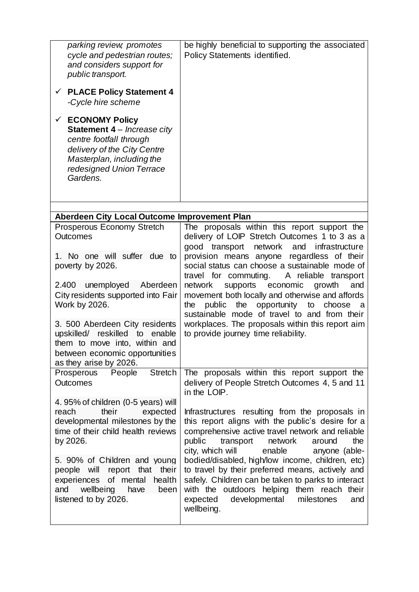| parking review, promotes<br>cycle and pedestrian routes;<br>and considers support for<br>public transport.<br>$\checkmark$ PLACE Policy Statement 4<br>-Cycle hire scheme<br><b>ECONOMY Policy</b><br>$\checkmark$<br>Statement 4 - Increase city<br>centre footfall through<br>delivery of the City Centre<br>Masterplan, including the<br>redesigned Union Terrace<br>Gardens. | be highly beneficial to supporting the associated<br>Policy Statements identified.                                                                                                                                                                                       |
|----------------------------------------------------------------------------------------------------------------------------------------------------------------------------------------------------------------------------------------------------------------------------------------------------------------------------------------------------------------------------------|--------------------------------------------------------------------------------------------------------------------------------------------------------------------------------------------------------------------------------------------------------------------------|
| Aberdeen City Local Outcome Improvement Plan                                                                                                                                                                                                                                                                                                                                     |                                                                                                                                                                                                                                                                          |
| Prosperous Economy Stretch<br><b>Outcomes</b>                                                                                                                                                                                                                                                                                                                                    | The proposals within this report support the<br>delivery of LOIP Stretch Outcomes 1 to 3 as a<br>good transport network and<br>infrastructure                                                                                                                            |
| 1. No one will suffer due to<br>poverty by 2026.                                                                                                                                                                                                                                                                                                                                 | provision means anyone regardless of their<br>social status can choose a sustainable mode of<br>travel for commuting.<br>A reliable transport                                                                                                                            |
| Aberdeen<br>2.400 unemployed<br>City residents supported into Fair<br>Work by 2026.                                                                                                                                                                                                                                                                                              | network<br>supports economic growth<br>and<br>movement both locally and otherwise and affords<br>opportunity<br>to<br>public<br>the<br>choose<br>the<br>a<br>sustainable mode of travel to and from their                                                                |
| 3. 500 Aberdeen City residents<br>reskilled<br>upskilled/<br>enable<br>to<br>them to move into, within and<br>between economic opportunities<br>as they arise by 2026.                                                                                                                                                                                                           | workplaces. The proposals within this report aim<br>to provide journey time reliability.                                                                                                                                                                                 |
| <b>Stretch</b><br>People<br>Prosperous<br><b>Outcomes</b>                                                                                                                                                                                                                                                                                                                        | The proposals within this report support the<br>delivery of People Stretch Outcomes 4, 5 and 11<br>in the LOIP.                                                                                                                                                          |
| 4.95% of children (0-5 years) will<br>their<br>reach<br>expected<br>developmental milestones by the<br>time of their child health reviews<br>by 2026.                                                                                                                                                                                                                            | Infrastructures resulting from the proposals in<br>this report aligns with the public's desire for a<br>comprehensive active travel network and reliable<br>public<br>the<br>transport<br>network<br>around<br>city, which will<br>anyone (able-<br>enable               |
| 5. 90% of Children and young<br>people will<br>report that<br>their<br>of mental<br>health<br>experiences<br>wellbeing<br>and<br>have<br>been<br>listened to by 2026.                                                                                                                                                                                                            | bodied/disabled, high/low income, children, etc)<br>to travel by their preferred means, actively and<br>safely. Children can be taken to parks to interact<br>with the outdoors helping them reach their<br>expected<br>developmental<br>milestones<br>and<br>wellbeing. |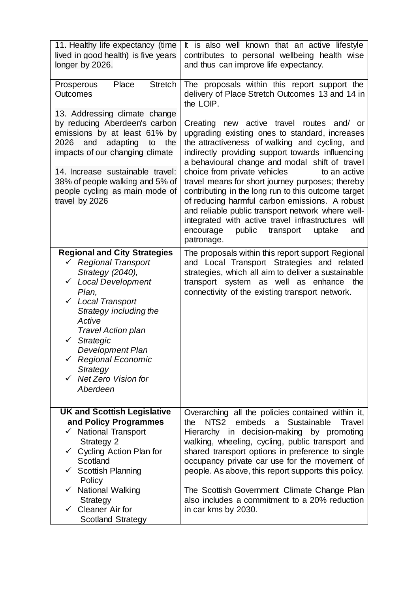| 11. Healthy life expectancy (time<br>lived in good health) is five years<br>longer by 2026.                                                                                                                                                                                                                                                                                 | It is also well known that an active lifestyle<br>contributes to personal wellbeing health wise<br>and thus can improve life expectancy.                                                                                                                                                                                                                                                                                                                                                                                                                                                                                                          |
|-----------------------------------------------------------------------------------------------------------------------------------------------------------------------------------------------------------------------------------------------------------------------------------------------------------------------------------------------------------------------------|---------------------------------------------------------------------------------------------------------------------------------------------------------------------------------------------------------------------------------------------------------------------------------------------------------------------------------------------------------------------------------------------------------------------------------------------------------------------------------------------------------------------------------------------------------------------------------------------------------------------------------------------------|
| <b>Stretch</b><br>Place<br>Prosperous<br><b>Outcomes</b>                                                                                                                                                                                                                                                                                                                    | The proposals within this report support the<br>delivery of Place Stretch Outcomes 13 and 14 in<br>the LOIP.                                                                                                                                                                                                                                                                                                                                                                                                                                                                                                                                      |
| 13. Addressing climate change<br>by reducing Aberdeen's carbon<br>emissions by at least 61% by<br>adapting<br>2026<br>and<br>the<br>to<br>impacts of our changing climate<br>14. Increase sustainable travel:<br>38% of people walking and 5% of<br>people cycling as main mode of<br>travel by 2026                                                                        | new active travel routes and/ or<br>Creating<br>upgrading existing ones to standard, increases<br>the attractiveness of walking and cycling, and<br>indirectly providing support towards influencing<br>a behavioural change and modal shift of travel<br>choice from private vehicles<br>to an active<br>travel means for short journey purposes; thereby<br>contributing in the long run to this outcome target<br>of reducing harmful carbon emissions. A robust<br>and reliable public transport network where well-<br>integrated with active travel infrastructures will<br>encourage<br>public<br>transport<br>uptake<br>and<br>patronage. |
| <b>Regional and City Strategies</b><br>← Regional Transport<br>Strategy (2040),<br><b>Local Development</b><br>$\checkmark$<br>Plan,<br><b>Local Transport</b><br>$\checkmark$<br>Strategy including the<br>Active<br><b>Travel Action plan</b><br>Strategic<br>$\checkmark$<br><b>Development Plan</b><br>Regional Economic<br>Strategy<br>Net Zero Vision for<br>Aberdeen | The proposals within this report support Regional<br>and Local Transport Strategies and related<br>strategies, which all aim to deliver a sustainable<br>transport system as well as enhance the<br>connectivity of the existing transport network.                                                                                                                                                                                                                                                                                                                                                                                               |
| <b>UK and Scottish Legislative</b><br>and Policy Programmes<br>$\checkmark$ National Transport<br><b>Strategy 2</b><br>$\checkmark$ Cycling Action Plan for<br>Scotland<br><b>Scottish Planning</b><br>✓<br>Policy<br><b>National Walking</b><br>✓<br>Strategy<br>$\checkmark$ Cleaner Air for<br><b>Scotland Strategy</b>                                                  | Overarching all the policies contained within it,<br>NTS <sub>2</sub><br>embeds a Sustainable<br>the<br>Travel<br>Hierarchy in decision-making by promoting<br>walking, wheeling, cycling, public transport and<br>shared transport options in preference to single<br>occupancy private car use for the movement of<br>people. As above, this report supports this policy.<br>The Scottish Government Climate Change Plan<br>also includes a commitment to a 20% reduction<br>in car kms by 2030.                                                                                                                                                |